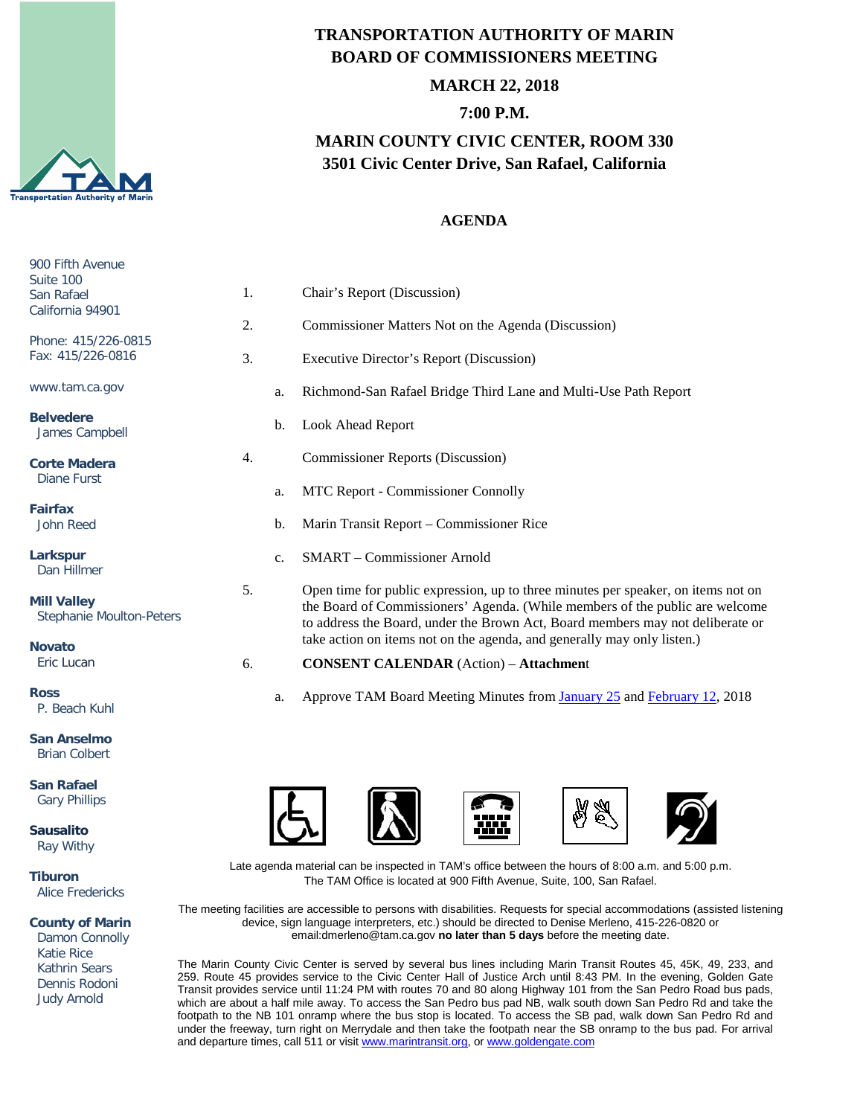

# **TRANSPORTATION AUTHORITY OF MARIN BOARD OF COMMISSIONERS MEETING**

## **MARCH 22, 2018**

## **7:00 P.M.**

# **MARIN COUNTY CIVIC CENTER, ROOM 330 3501 Civic Center Drive, San Rafael, California**

### **AGENDA**

| 900 Fifth Avenue<br>Suite 100                         |    |    |                                                                                                                                                                                                                                                     |
|-------------------------------------------------------|----|----|-----------------------------------------------------------------------------------------------------------------------------------------------------------------------------------------------------------------------------------------------------|
| San Rafael<br>California 94901                        | 1. |    | Chair's Report (Discussion)                                                                                                                                                                                                                         |
|                                                       | 2. |    | Commissioner Matters Not on the Agenda (Discussion)                                                                                                                                                                                                 |
| Phone: 415/226-0815<br>Fax: 415/226-0816              | 3. |    | <b>Executive Director's Report (Discussion)</b>                                                                                                                                                                                                     |
| www.tam.ca.gov                                        |    | a. | Richmond-San Rafael Bridge Third Lane and Multi-Use Path Report                                                                                                                                                                                     |
| <b>Belvedere</b><br>James Campbell                    |    | b. | Look Ahead Report                                                                                                                                                                                                                                   |
| <b>Corte Madera</b><br><b>Diane Furst</b>             | 4. |    | <b>Commissioner Reports (Discussion)</b>                                                                                                                                                                                                            |
|                                                       |    | a. | MTC Report - Commissioner Connolly                                                                                                                                                                                                                  |
| <b>Fairfax</b><br>John Reed                           |    | b. | Marin Transit Report – Commissioner Rice                                                                                                                                                                                                            |
| Larkspur<br>Dan Hillmer                               |    | c. | <b>SMART</b> - Commissioner Arnold                                                                                                                                                                                                                  |
| <b>Mill Valley</b><br><b>Stephanie Moulton-Peters</b> | 5. |    | Open time for public expression, up to three minutes per speaker, on items not on<br>the Board of Commissioners' Agenda. (While members of the public are welcome<br>to address the Board, under the Brown Act, Board members may not deliberate or |
| <b>Novato</b>                                         |    |    | take action on items not on the agenda, and generally may only listen.)                                                                                                                                                                             |
| Eric Lucan                                            | 6. |    | <b>CONSENT CALENDAR</b> (Action) - Attachment                                                                                                                                                                                                       |
| <b>Ross</b><br>P. Beach Kuhl                          |    | a. | Approve TAM Board Meeting Minutes from January 25 and February 12, 2018                                                                                                                                                                             |
| <b>San Anselmo</b><br><b>Brian Colbert</b>            |    |    |                                                                                                                                                                                                                                                     |
| <b>San Rafael</b><br><b>Gary Phillips</b>             |    |    | $\mathcal{U}$ $\mathcal{U}$                                                                                                                                                                                                                         |

 $\overline{\phantom{a}}$ 

**Sausalito** Ray Withy

**Tiburon** Alice Fredericks

**County of Marin**

 Damon Connolly Katie Rice Kathrin Sears Dennis Rodoni Judy Arnold

Late agenda material can be inspected in TAM's office between the hours of 8:00 a.m. and 5:00 p.m. The TAM Office is located at 900 Fifth Avenue, Suite, 100, San Rafael.

-----,,,,,

6

The meeting facilities are accessible to persons with disabilities. Requests for special accommodations (assisted listening device, sign language interpreters, etc.) should be directed to Denise Merleno, 415-226-0820 or email:dmerleno@tam.ca.gov **no later than 5 days** before the meeting date.

The Marin County Civic Center is served by several bus lines including Marin Transit Routes 45, 45K, 49, 233, and 259. Route 45 provides service to the Civic Center Hall of Justice Arch until 8:43 PM. In the evening, Golden Gate Transit provides service until 11:24 PM with routes 70 and 80 along Highway 101 from the San Pedro Road bus pads, which are about a half mile away. To access the San Pedro bus pad NB, walk south down San Pedro Rd and take the footpath to the NB 101 onramp where the bus stop is located. To access the SB pad, walk down San Pedro Rd and under the freeway, turn right on Merrydale and then take the footpath near the SB onramp to the bus pad. For arrival and departure times, call 511 or visit [www.marintransit.org,](file://tamfs2/tam/03.%20TAM%20BOARDS%20&%20COMMITTEES/03.01%20TAM%20Board/03.01.03%20Board%20Packets/www.marintransit.org) o[r www.goldengate.com](file://tamfs2/tam/03.%20TAM%20BOARDS%20&%20COMMITTEES/03.01%20TAM%20Board/03.01.03%20Board%20Packets/www.goldengate.com)